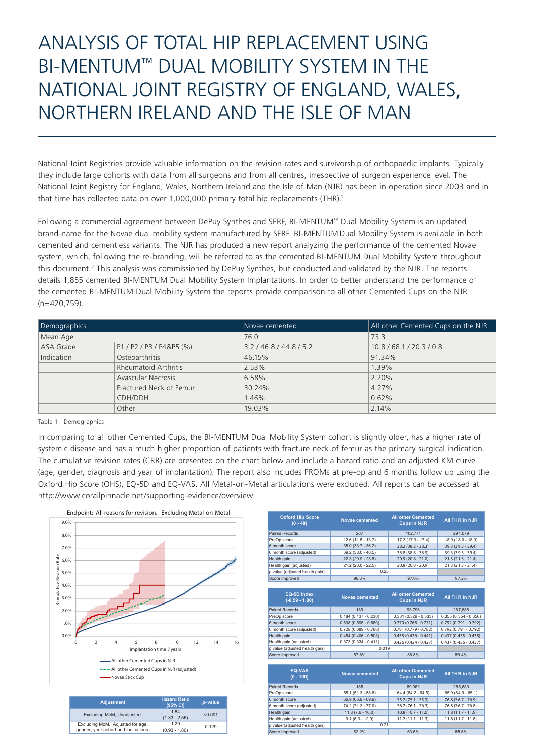## ANALYSIS OF TOTAL HIP REPLACEMENT USING BI-MENTUM™ DUAL MOBILITY SYSTEM IN THE NATIONAL JOINT REGISTRY OF ENGLAND, WALES, NORTHERN IRELAND AND THE ISLE OF MAN

National Joint Registries provide valuable information on the revision rates and survivorship of orthopaedic implants. Typically they include large cohorts with data from all surgeons and from all centres, irrespective of surgeon experience level. The National Joint Registry for England, Wales, Northern Ireland and the Isle of Man (NJR) has been in operation since 2003 and in that time has collected data on over 1,000,000 primary total hip replacements (THR).<sup>1</sup>

Following a commercial agreement between DePuy Synthes and SERF, BI-MENTUM™ Dual Mobility System is an updated brand-name for the Novae dual mobility system manufactured by SERF. BI-MENTUM Dual Mobility System is available in both cemented and cementless variants. The NJR has produced a new report analyzing the performance of the cemented Novae system, which, following the re-branding, will be referred to as the cemented BI-MENTUM Dual Mobility System throughout this document.2 This analysis was commissioned by DePuy Synthes, but conducted and validated by the NJR. The reports details 1,855 cemented BI-MENTUM Dual Mobility System Implantations. In order to better understand the performance of the cemented BI-MENTUM Dual Mobility System the reports provide comparison to all other Cemented Cups on the NJR (n=420,759).

| Demographics<br>Mean Age |                             | Novae cemented    | All other Cemented Cups on the NJR |
|--------------------------|-----------------------------|-------------------|------------------------------------|
|                          |                             | 76.0              | 73.3                               |
| ASA Grade                | P1 / P2 / P3 / P4&P5 (%)    | 3.2/46.8/44.8/5.2 | 10.8 / 68.1 / 20.3 / 0.8           |
| Indication               | Osteoarthritis              | 46.15%            | 91.34%                             |
|                          | <b>Rheumatoid Arthritis</b> | 2.53%             | 1.39%                              |
|                          | <b>Avascular Necrosis</b>   | 6.58%             | 2.20%                              |
|                          | Fractured Neck of Femur     | 30.24%            | 4.27%                              |
|                          | CDH/DDH                     | 1.46%             | 0.62%                              |
|                          | Other                       | 19.03%            | 2.14%                              |

Table 1 - Demographics

In comparing to all other Cemented Cups, the BI-MENTUM Dual Mobility System cohort is slightly older, has a higher rate of systemic disease and has a much higher proportion of patients with fracture neck of femur as the primary surgical indication. The cumulative revision rates (CRR) are presented on the chart below and include a hazard ratio and an adjusted KM curve (age, gender, diagnosis and year of implantation). The report also includes PROMs at pre-op and 6 months follow up using the Oxford Hip Score (OHS), EQ-5D and EQ-VAS. All Metal-on-Metal articulations were excluded. All reports can be accessed at http://www.corailpinnacle.net/supporting-evidence/overview.



| <b>Adjustment</b>                                                        | <b>Hazard Ratio</b><br>(95% CI) | p-value |
|--------------------------------------------------------------------------|---------------------------------|---------|
| Excluding MoM, Unadjusted.                                               | 1.84<br>$(1.33 - 2.56)$         | < 0.001 |
| Excluding MoM. Adjusted for age,<br>gender, year cohort and indications. | 1.29<br>$(0.93 - 1.80)$         | 0.129   |

| <b>Oxford Hip Score</b><br>$(0 - 48)$ | <b>Novae cemented</b>  | <b>All other Cemented</b><br><b>Cups in NJR</b> | <b>All THR in NJR</b>  |
|---------------------------------------|------------------------|-------------------------------------------------|------------------------|
| <b>Paired Records</b>                 | 207                    | 102.771                                         | 291,079                |
| PreOp score                           | 12.6 (11.5 - 13.7)     | $17.3(17.3 - 17.4)$                             | 18.0 (18.0 - 18.0)     |
| 6 month score                         | $35.0(33.7 - 36.2)$    | $38.2 (38.2 - 38.3)$                            | 39.3 (39.3 - 39.4)     |
| 6 month score (adjusted)              | $39.2(38.0 - 40.5)$    | 38.8 (38.8 - 38.9)                              | 39.3 (39.3 - 39.4)     |
| Health gain                           | $22.3(20.9 - 23.8)$    | $20.9(20.8 - 21.0)$                             | $21.3(21.3 - 21.4)$    |
| Health gain (adjusted)                | $21.2(20.0 - 22.5)$    | $20.8(20.8 - 20.9)$                             | $21.3(21.3 - 21.4)$    |
| p value (adjusted health gain)        | 0.25                   |                                                 |                        |
| Score Improved                        | 96.6%                  | 97.0%                                           | 97.2%                  |
|                                       |                        |                                                 |                        |
| EQ-5D Index<br>$(-0.59 - 1.00)$       | <b>Novae cemented</b>  | <b>All other Cemented</b><br><b>Cups in NJR</b> | <b>All THR in NJR</b>  |
| <b>Paired Records</b>                 | 189                    | 93.796                                          | 267,686                |
| PreOp score                           | $0.184(0.137 - 0.230)$ | $0.331(0.329 - 0.333)$                          | $0.355(0.354 - 0.356)$ |
| 6 month score                         | $0.638(0.595 - 0.680)$ | $0.770(0.768 - 0.771)$                          | $0.792(0.791 - 0.792)$ |
| 6 month score (adjusted)              | $0.728(0.689 - 0.766)$ | $0.781(0.779 - 0.782)$                          | $0.792(0.791 - 0.792)$ |
| Health gain                           | $0.454(0.406 - 0.503)$ | $0.438(0.436 - 0.441)$                          | $0.437(0.435 - 0.438)$ |
| Health gain (adjusted)                | $0.373(0.334 - 0.411)$ | $0.426(0.424 - 0.427)$                          | $0.437(0.436 - 0.437)$ |
| p value (adjusted health gain)        | 0.019                  |                                                 |                        |
| Score Improved                        | 87.8%                  | 88.8%                                           | 89.4%                  |
|                                       |                        |                                                 |                        |
| <b>EQ-VAS</b><br>$(0 - 100)$          | <b>Novae cemented</b>  | <b>All other Cemented</b><br><b>Cups in NJR</b> | <b>All THR in NJR</b>  |
| <b>Paired Records</b>                 | 185                    | 89.362                                          | 256.680                |
| PreOp score                           | $55.1(51.3 - 58.8)$    | $64.4(64.2 - 64.5)$                             | $65.0(64.9 - 65.1)$    |
| 6 month score                         | $66.9(63.9 - 69.9)$    | $75.2(75.1 - 75.3)$                             | 76.8 (76.7 - 76.9)     |
| 6 month score (adjusted)              | 74.2 (71.3 - 77.0)     | 76.2 (76.1 - 76.3)                              | 76.8 (76.7 - 76.8)     |
| Health gain                           | $11.8(7.6 - 16.0)$     | $10.8(10.7 - 11.0)$                             | $11.8(11.7 - 11.9)$    |
| Health gain (adjusted)                | $9.1(6.3 - 12.0)$      | $11.2(11.1 - 11.3)$                             | $11.8(11.7 - 11.8)$    |
| p value (adjusted health gain)        | 0.21                   |                                                 |                        |

Score Improved 62.2% 63.6% 65.6%